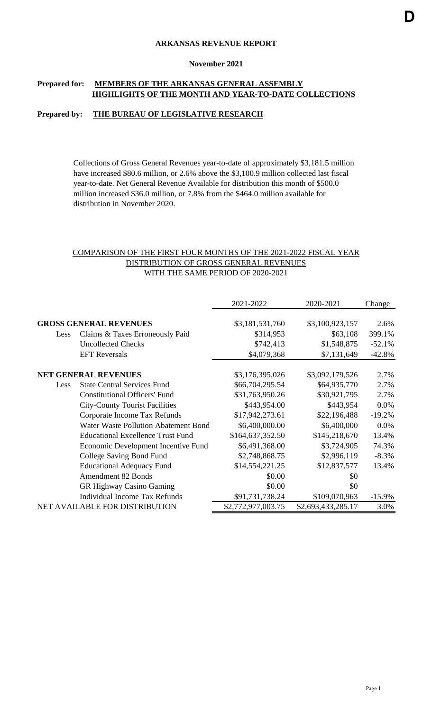## **ARKANSAS REVENUE REPORT**

#### **November 2021**

## **Prepared for: MEMBERS OF THE ARKANSAS GENERAL ASSEMBLY HIGHLIGHTS OF THE MONTH AND YEAR-TO-DATE COLLECTIONS**

### **Prepared by: THE BUREAU OF LEGISLATIVE RESEARCH**

Collections of Gross General Revenues year-to-date of approximately \$3,181.5 million have increased \$80.6 million, or 2.6% above the \$3,100.9 million collected last fiscal year-to-date. Net General Revenue Available for distribution this month of \$500.0 million increased \$36.0 million, or 7.8% from the \$464.0 million available for distribution in November 2020.

## COMPARISON OF THE FIRST FOUR MONTHS OF THE 2021-2022 FISCAL YEAR DISTRIBUTION OF GROSS GENERAL REVENUES WITH THE SAME PERIOD OF 2020-2021

|                               |                                          | 2021-2022          | 2020-2021          | Change    |
|-------------------------------|------------------------------------------|--------------------|--------------------|-----------|
|                               |                                          |                    |                    |           |
| <b>GROSS GENERAL REVENUES</b> |                                          | \$3,181,531,760    | \$3,100,923,157    | 2.6%      |
| Less                          | Claims & Taxes Erroneously Paid          | \$314,953          | \$63,108           | 399.1%    |
|                               | <b>Uncollected Checks</b>                | \$742,413          | \$1,548,875        | $-52.1%$  |
|                               | <b>EFT</b> Reversals                     | \$4,079,368        | \$7,131,649        | $-42.8%$  |
|                               | <b>NET GENERAL REVENUES</b>              | \$3,176,395,026    | \$3,092,179,526    | 2.7%      |
| Less                          | <b>State Central Services Fund</b>       | \$66,704,295.54    | \$64,935,770       | 2.7%      |
|                               | <b>Constitutional Officers' Fund</b>     | \$31,763,950.26    | \$30,921,795       | 2.7%      |
|                               | <b>City-County Tourist Facilities</b>    | \$443,954.00       | \$443,954          | 0.0%      |
|                               | Corporate Income Tax Refunds             | \$17,942,273.61    | \$22,196,488       | $-19.2%$  |
|                               | Water Waste Pollution Abatement Bond     | \$6,400,000.00     | \$6,400,000        | 0.0%      |
|                               | <b>Educational Excellence Trust Fund</b> | \$164,637,352.50   | \$145,218,670      | 13.4%     |
|                               | Economic Development Incentive Fund      | \$6,491,368.00     | \$3,724,905        | 74.3%     |
|                               | College Saving Bond Fund                 | \$2,748,868.75     | \$2,996,119        | $-8.3%$   |
|                               | <b>Educational Adequacy Fund</b>         | \$14,554,221.25    | \$12,837,577       | 13.4%     |
|                               | <b>Amendment 82 Bonds</b>                | \$0.00             | \$0                |           |
|                               | <b>GR Highway Casino Gaming</b>          | \$0.00             | \$0                |           |
|                               | Individual Income Tax Refunds            | \$91,731,738.24    | \$109,070,963      | $-15.9\%$ |
|                               | NET AVAILABLE FOR DISTRIBUTION           | \$2,772,977,003.75 | \$2,693,433,285.17 | 3.0%      |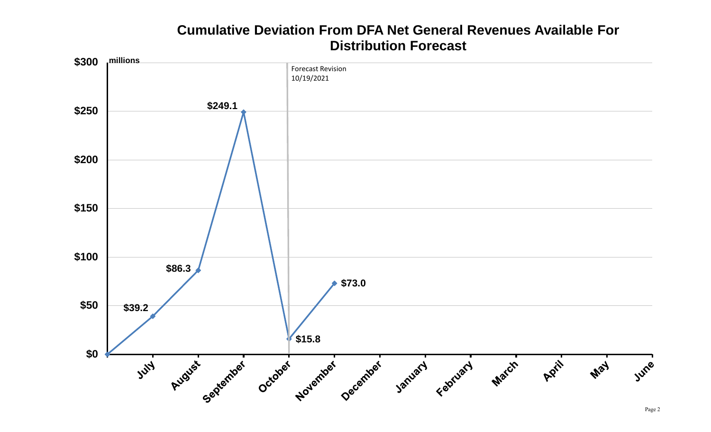# **Cumulative Deviation From DFA Net General Revenues Available For Distribution Forecast**

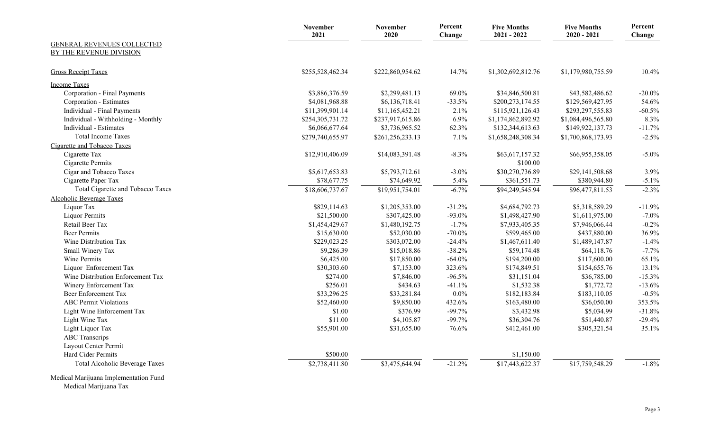|                                       | <b>November</b><br>2021 | <b>November</b><br>2020 | Percent<br>Change | <b>Five Months</b><br>$2021 - 2022$ | <b>Five Months</b><br>$2020 - 2021$ | Percent<br>Change |
|---------------------------------------|-------------------------|-------------------------|-------------------|-------------------------------------|-------------------------------------|-------------------|
| GENERAL REVENUES COLLECTED            |                         |                         |                   |                                     |                                     |                   |
| BY THE REVENUE DIVISION               |                         |                         |                   |                                     |                                     |                   |
| <b>Gross Receipt Taxes</b>            | \$255,528,462.34        | \$222,860,954.62        | 14.7%             | \$1,302,692,812.76                  | \$1,179,980,755.59                  | 10.4%             |
| <b>Income Taxes</b>                   |                         |                         |                   |                                     |                                     |                   |
| Corporation - Final Payments          | \$3,886,376.59          | \$2,299,481.13          | 69.0%             | \$34,846,500.81                     | \$43,582,486.62                     | $-20.0\%$         |
| Corporation - Estimates               | \$4,081,968.88          | \$6,136,718.41          | $-33.5%$          | \$200,273,174.55                    | \$129,569,427.95                    | 54.6%             |
| Individual - Final Payments           | \$11,399,901.14         | \$11,165,452.21         | 2.1%              | \$115,921,126.43                    | \$293,297,555.83                    | $-60.5%$          |
| Individual - Withholding - Monthly    | \$254,305,731.72        | \$237,917,615.86        | 6.9%              | \$1,174,862,892.92                  | \$1,084,496,565.80                  | 8.3%              |
| Individual - Estimates                | \$6,066,677.64          | \$3,736,965.52          | 62.3%             | \$132,344,613.63                    | \$149,922,137.73                    | $-11.7%$          |
| <b>Total Income Taxes</b>             | \$279,740,655.97        | \$261, 256, 233.13      | 7.1%              | \$1,658,248,308.34                  | \$1,700,868,173.93                  | $-2.5%$           |
| Cigarette and Tobacco Taxes           |                         |                         |                   |                                     |                                     |                   |
| Cigarette Tax                         | \$12,910,406.09         | \$14,083,391.48         | $-8.3\%$          | \$63,617,157.32                     | \$66,955,358.05                     | $-5.0\%$          |
| Cigarette Permits                     |                         |                         |                   | \$100.00                            |                                     |                   |
| Cigar and Tobacco Taxes               | \$5,617,653.83          | \$5,793,712.61          | $-3.0\%$          | \$30,270,736.89                     | \$29,141,508.68                     | 3.9%              |
| Cigarette Paper Tax                   | \$78,677.75             | \$74,649.92             | 5.4%              | \$361,551.73                        | \$380,944.80                        | $-5.1\%$          |
| Total Cigarette and Tobacco Taxes     | \$18,606,737.67         | \$19,951,754.01         | $-6.7%$           | \$94,249,545.94                     | $\overline{$96,477,811.53}$         | $-2.3%$           |
| <b>Alcoholic Beverage Taxes</b>       |                         |                         |                   |                                     |                                     |                   |
| Liquor Tax                            | \$829,114.63            | \$1,205,353.00          | $-31.2%$          | \$4,684,792.73                      | \$5,318,589.29                      | $-11.9%$          |
| <b>Liquor Permits</b>                 | \$21,500.00             | \$307,425.00            | $-93.0\%$         | \$1,498,427.90                      | \$1,611,975.00                      | $-7.0\%$          |
| Retail Beer Tax                       | \$1,454,429.67          | \$1,480,192.75          | $-1.7%$           | \$7,933,405.35                      | \$7,946,066.44                      | $-0.2%$           |
| <b>Beer Permits</b>                   | \$15,630.00             | \$52,030.00             | $-70.0\%$         | \$599,465.00                        | \$437,880.00                        | 36.9%             |
| Wine Distribution Tax                 | \$229,023.25            | \$303,072.00            | $-24.4%$          | \$1,467,611.40                      | \$1,489,147.87                      | $-1.4%$           |
| Small Winery Tax                      | \$9,286.39              | \$15,018.86             | $-38.2%$          | \$59,174.48                         | \$64,118.76                         | $-7.7%$           |
| <b>Wine Permits</b>                   | \$6,425.00              | \$17,850.00             | $-64.0%$          | \$194,200.00                        | \$117,600.00                        | 65.1%             |
| Liquor Enforcement Tax                | \$30,303.60             | \$7,153.00              | 323.6%            | \$174,849.51                        | \$154,655.76                        | 13.1%             |
| Wine Distribution Enforcement Tax     | \$274.00                | \$7,846.00              | $-96.5%$          | \$31,151.04                         | \$36,785.00                         | $-15.3%$          |
| Winery Enforcement Tax                | \$256.01                | \$434.63                | $-41.1%$          | \$1,532.38                          | \$1,772.72                          | $-13.6%$          |
| <b>Beer Enforcement Tax</b>           | \$33,296.25             | \$33,281.84             | $0.0\%$           | \$182,183.84                        | \$183,110.05                        | $-0.5%$           |
| <b>ABC Permit Violations</b>          | \$52,460.00             | \$9,850.00              | 432.6%            | \$163,480.00                        | \$36,050.00                         | 353.5%            |
| Light Wine Enforcement Tax            | \$1.00                  | \$376.99                | $-99.7%$          | \$3,432.98                          | \$5,034.99                          | $-31.8%$          |
| Light Wine Tax                        | \$11.00                 | \$4,105.87              | $-99.7%$          | \$36,304.76                         | \$51,440.87                         | $-29.4%$          |
| Light Liquor Tax                      | \$55,901.00             | \$31,655.00             | 76.6%             | \$412,461.00                        | \$305,321.54                        | 35.1%             |
| <b>ABC Transcrips</b>                 |                         |                         |                   |                                     |                                     |                   |
| Layout Center Permit                  |                         |                         |                   |                                     |                                     |                   |
| Hard Cider Permits                    | \$500.00                |                         |                   | \$1,150.00                          |                                     |                   |
| <b>Total Alcoholic Beverage Taxes</b> | \$2,738,411.80          | \$3,475,644.94          | $-21.2%$          | \$17,443,622.37                     | \$17,759,548.29                     | $-1.8%$           |
| Medical Marijuana Implementation Fund |                         |                         |                   |                                     |                                     |                   |

Medical Marijuana Tax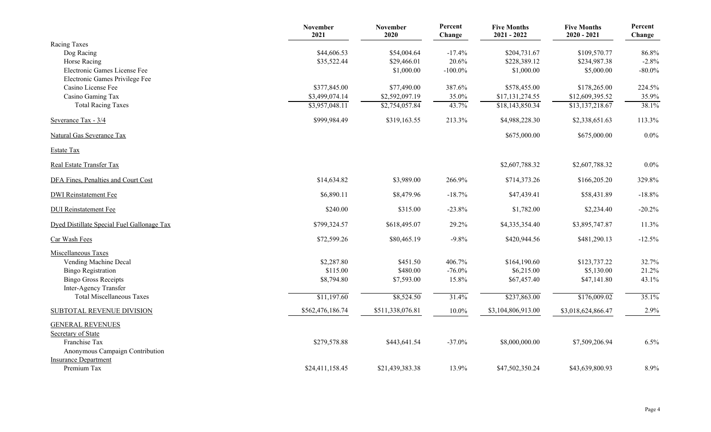|                                                      | <b>November</b><br>2021 | <b>November</b><br>2020 | Percent<br>Change | <b>Five Months</b><br>$2021 - 2022$ | <b>Five Months</b><br>$2020 - 2021$ | Percent<br>Change |
|------------------------------------------------------|-------------------------|-------------------------|-------------------|-------------------------------------|-------------------------------------|-------------------|
| Racing Taxes                                         |                         |                         |                   |                                     |                                     |                   |
| Dog Racing                                           | \$44,606.53             | \$54,004.64             | $-17.4%$          | \$204,731.67                        | \$109,570.77                        | 86.8%             |
| Horse Racing                                         | \$35,522.44             | \$29,466.01             | 20.6%             | \$228,389.12                        | \$234,987.38                        | $-2.8%$           |
| Electronic Games License Fee                         |                         | \$1,000.00              | $-100.0\%$        | \$1,000.00                          | \$5,000.00                          | $-80.0\%$         |
| Electronic Games Privilege Fee                       |                         |                         |                   |                                     |                                     |                   |
| Casino License Fee                                   | \$377,845.00            | \$77,490.00             | 387.6%            | \$578,455.00                        | \$178,265.00                        | 224.5%            |
| Casino Gaming Tax                                    | \$3,499,074.14          | \$2,592,097.19          | 35.0%             | \$17,131,274.55                     | \$12,609,395.52                     | 35.9%             |
| <b>Total Racing Taxes</b>                            | \$3,957,048.11          | \$2,754,057.84          | 43.7%             | \$18,143,850.34                     | \$13,137,218.67                     | 38.1%             |
| Severance Tax - 3/4                                  | \$999,984.49            | \$319,163.55            | 213.3%            | \$4,988,228.30                      | \$2,338,651.63                      | 113.3%            |
| <b>Natural Gas Severance Tax</b>                     |                         |                         |                   | \$675,000.00                        | \$675,000.00                        | $0.0\%$           |
| <b>Estate Tax</b>                                    |                         |                         |                   |                                     |                                     |                   |
| Real Estate Transfer Tax                             |                         |                         |                   | \$2,607,788.32                      | \$2,607,788.32                      | $0.0\%$           |
| DFA Fines, Penalties and Court Cost                  | \$14,634.82             | \$3,989.00              | 266.9%            | \$714,373.26                        | \$166,205.20                        | 329.8%            |
| <b>DWI</b> Reinstatement Fee                         | \$6,890.11              | \$8,479.96              | $-18.7\%$         | \$47,439.41                         | \$58,431.89                         | $-18.8%$          |
| <b>DUI</b> Reinstatement Fee                         | \$240.00                | \$315.00                | $-23.8%$          | \$1,782.00                          | \$2,234.40                          | $-20.2%$          |
| Dyed Distillate Special Fuel Gallonage Tax           | \$799,324.57            | \$618,495.07            | 29.2%             | \$4,335,354.40                      | \$3,895,747.87                      | 11.3%             |
| Car Wash Fees                                        | \$72,599.26             | \$80,465.19             | $-9.8\%$          | \$420,944.56                        | \$481,290.13                        | $-12.5%$          |
| Miscellaneous Taxes                                  |                         |                         |                   |                                     |                                     |                   |
| Vending Machine Decal                                | \$2,287.80              | \$451.50                | 406.7%            | \$164,190.60                        | \$123,737.22                        | 32.7%             |
| <b>Bingo Registration</b>                            | \$115.00                | \$480.00                | $-76.0\%$         | \$6,215.00                          | \$5,130.00                          | 21.2%             |
| <b>Bingo Gross Receipts</b><br>Inter-Agency Transfer | \$8,794.80              | \$7,593.00              | 15.8%             | \$67,457.40                         | \$47,141.80                         | 43.1%             |
| <b>Total Miscellaneous Taxes</b>                     | \$11,197.60             | \$8,524.50              | 31.4%             | \$237,863.00                        | \$176,009.02                        | 35.1%             |
| <b>SUBTOTAL REVENUE DIVISION</b>                     | \$562,476,186.74        | \$511,338,076.81        | $10.0\%$          | \$3,104,806,913.00                  | \$3,018,624,866.47                  | 2.9%              |
| <b>GENERAL REVENUES</b>                              |                         |                         |                   |                                     |                                     |                   |
| Secretary of State                                   |                         |                         |                   |                                     |                                     |                   |
| Franchise Tax                                        | \$279,578.88            | \$443,641.54            | $-37.0\%$         | \$8,000,000.00                      | \$7,509,206.94                      | 6.5%              |
| Anonymous Campaign Contribution                      |                         |                         |                   |                                     |                                     |                   |
| <b>Insurance Department</b>                          |                         |                         |                   |                                     |                                     |                   |
| Premium Tax                                          | \$24,411,158.45         | \$21,439,383.38         | 13.9%             | \$47,502,350.24                     | \$43,639,800.93                     | 8.9%              |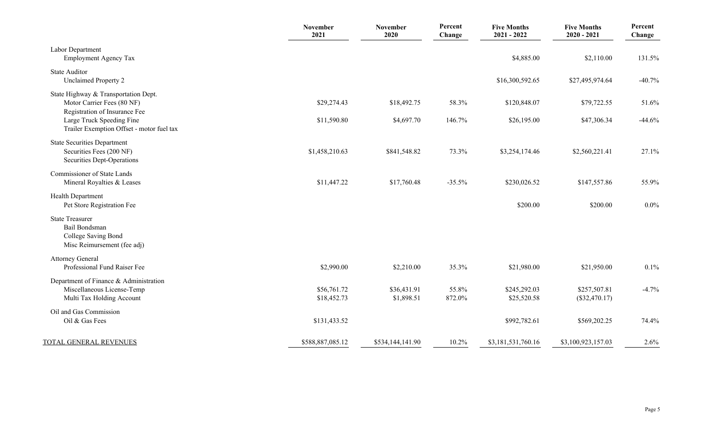|                                                                                                         | November<br>2021           | November<br>2020          | Percent<br>Change | <b>Five Months</b><br>$2021 - 2022$ | <b>Five Months</b><br>$2020 - 2021$ | Percent<br>Change |
|---------------------------------------------------------------------------------------------------------|----------------------------|---------------------------|-------------------|-------------------------------------|-------------------------------------|-------------------|
| Labor Department<br><b>Employment Agency Tax</b>                                                        |                            |                           |                   | \$4,885.00                          | \$2,110.00                          | 131.5%            |
| <b>State Auditor</b><br><b>Unclaimed Property 2</b>                                                     |                            |                           |                   | \$16,300,592.65                     | \$27,495,974.64                     | $-40.7%$          |
| State Highway & Transportation Dept.<br>Motor Carrier Fees (80 NF)                                      | \$29,274.43                | \$18,492.75               | 58.3%             | \$120,848.07                        | \$79,722.55                         | 51.6%             |
| Registration of Insurance Fee<br>Large Truck Speeding Fine<br>Trailer Exemption Offset - motor fuel tax | \$11,590.80                | \$4,697.70                | 146.7%            | \$26,195.00                         | \$47,306.34                         | $-44.6%$          |
| <b>State Securities Department</b><br>Securities Fees (200 NF)<br>Securities Dept-Operations            | \$1,458,210.63             | \$841,548.82              | 73.3%             | \$3,254,174.46                      | \$2,560,221.41                      | 27.1%             |
| <b>Commissioner of State Lands</b><br>Mineral Royalties & Leases                                        | \$11,447.22                | \$17,760.48               | $-35.5%$          | \$230,026.52                        | \$147,557.86                        | 55.9%             |
| Health Department<br>Pet Store Registration Fee                                                         |                            |                           |                   | \$200.00                            | \$200.00                            | $0.0\%$           |
| <b>State Treasurer</b><br>Bail Bondsman<br>College Saving Bond<br>Misc Reimursement (fee adj)           |                            |                           |                   |                                     |                                     |                   |
| <b>Attorney General</b><br>Professional Fund Raiser Fee                                                 | \$2,990.00                 | \$2,210.00                | 35.3%             | \$21,980.00                         | \$21,950.00                         | 0.1%              |
| Department of Finance & Administration<br>Miscellaneous License-Temp<br>Multi Tax Holding Account       | \$56,761.72<br>\$18,452.73 | \$36,431.91<br>\$1,898.51 | 55.8%<br>872.0%   | \$245,292.03<br>\$25,520.58         | \$257,507.81<br>$(\$32,470.17)$     | $-4.7%$           |
| Oil and Gas Commission<br>Oil & Gas Fees                                                                | \$131,433.52               |                           |                   | \$992,782.61                        | \$569,202.25                        | 74.4%             |
| TOTAL GENERAL REVENUES                                                                                  | \$588,887,085.12           | \$534,144,141.90          | 10.2%             | \$3,181,531,760.16                  | \$3,100,923,157.03                  | 2.6%              |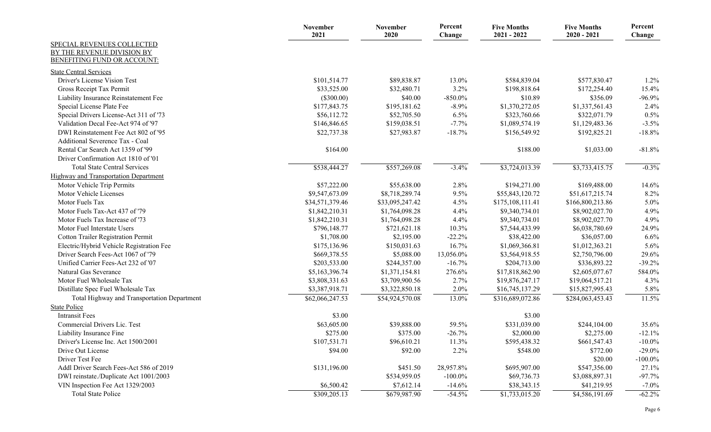| SPECIAL REVENUES COLLECTED<br>BY THE REVENUE DIVISION BY<br><b>BENEFITING FUND OR ACCOUNT:</b><br><b>State Central Services</b><br>Driver's License Vision Test<br>\$101,514.77<br>\$89,838.87<br>13.0%<br>\$584,839.04<br>\$577,830.47<br>1.2%<br>3.2%<br>15.4%<br>Gross Receipt Tax Permit<br>\$33,525.00<br>\$32,480.71<br>\$198,818.64<br>\$172,254.40<br>$(\$300.00)$<br>\$40.00<br>\$10.89<br>$-96.9%$<br>$-850.0\%$<br>\$356.09<br>Liability Insurance Reinstatement Fee<br>$-8.9%$<br>\$1,370,272.05<br>2.4%<br>\$177,843.75<br>\$195,181.62<br>\$1,337,561.43<br>Special License Plate Fee<br>0.5%<br>Special Drivers License-Act 311 of '73<br>\$56,112.72<br>\$52,705.50<br>$6.5\%$<br>\$323,760.66<br>\$322,071.79<br>$-7.7\%$<br>$-3.5%$<br>Validation Decal Fee-Act 974 of '97<br>\$146,846.65<br>\$159,038.51<br>\$1,089,574.19<br>\$1,129,483.36<br>DWI Reinstatement Fee Act 802 of '95<br>\$22,737.38<br>$-18.7%$<br>\$156,549.92<br>\$192,825.21<br>$-18.8%$<br>\$27,983.87<br>Additional Severence Tax - Coal<br>Rental Car Search Act 1359 of '99<br>\$164.00<br>\$188.00<br>\$1,033.00<br>$-81.8%$<br>Driver Confirmation Act 1810 of '01<br><b>Total State Central Services</b><br>\$538,444.27<br>\$557,269.08<br>$-3.4%$<br>\$3,724,013.39<br>\$3,733,415.75<br>$-0.3%$<br>Highway and Transportation Department<br>\$57,222.00<br>2.8%<br>\$194,271.00<br>\$169,488.00<br>14.6%<br>Motor Vehicle Trip Permits<br>\$55,638.00<br>8.2%<br>Motor Vehicle Licenses<br>\$9,547,673.09<br>9.5%<br>\$51,617,215.74<br>\$8,718,289.74<br>\$55,843,120.72<br>Motor Fuels Tax<br>5.0%<br>\$34,571,379.46<br>4.5%<br>\$175,108,111.41<br>\$166,800,213.86<br>\$33,095,247.42<br>Motor Fuels Tax-Act 437 of '79<br>4.4%<br>4.9%<br>\$1,842,210.31<br>\$1,764,098.28<br>\$9,340,734.01<br>\$8,902,027.70<br>4.9%<br>Motor Fuels Tax Increase of '73<br>\$1,842,210.31<br>\$1,764,098.28<br>4.4%<br>\$9,340,734.01<br>\$8,902,027.70<br>10.3%<br>24.9%<br>Motor Fuel Interstate Users<br>\$796,148.77<br>\$721,621.18<br>\$7,544,433.99<br>\$6,038,780.69<br>6.6%<br><b>Cotton Trailer Registration Permit</b><br>\$1,708.00<br>\$2,195.00<br>$-22.2%$<br>\$38,422.00<br>\$36,057.00<br>16.7%<br>\$1,069,366.81<br>5.6%<br>Electric/Hybrid Vehicle Registration Fee<br>\$175,136.96<br>\$150,031.63<br>\$1,012,363.21<br>Driver Search Fees-Act 1067 of '79<br>29.6%<br>\$669,378.55<br>\$5,088.00<br>13,056.0%<br>\$3,564,918.55<br>\$2,750,796.00<br>$-16.7\%$<br>\$203,533.00<br>\$244,357.00<br>\$204,713.00<br>$-39.2%$<br>Unified Carrier Fees-Act 232 of '07<br>\$336,893.22<br>Natural Gas Severance<br>\$5,163,396.74<br>276.6%<br>\$17,818,862.90<br>584.0%<br>\$1,371,154.81<br>\$2,605,077.67<br>Motor Fuel Wholesale Tax<br>\$3,808,331.63<br>2.7%<br>4.3%<br>\$3,709,900.56<br>\$19,876,247.17<br>\$19,064,517.21<br>Distillate Spec Fuel Wholesale Tax<br>\$3,387,918.71<br>2.0%<br>\$16,745,137.29<br>\$15,827,995.43<br>5.8%<br>\$3,322,850.18<br>Total Highway and Transportation Department<br>\$62,066,247.53<br>13.0%<br>11.5%<br>\$54,924,570.08<br>\$316,689,072.86<br>\$284,063,453.43<br><b>State Police</b><br><b>Intransit Fees</b><br>\$3.00<br>\$3.00<br>Commercial Drivers Lic. Test<br>\$63,605.00<br>\$39,888.00<br>59.5%<br>\$331,039.00<br>\$244,104.00<br>35.6%<br>$-26.7%$<br>\$375.00<br>$-12.1%$<br>Liability Insurance Fine<br>\$275.00<br>\$2,000.00<br>\$2,275.00<br>Driver's License Inc. Act 1500/2001<br>\$107,531.71<br>\$96,610.21<br>11.3%<br>\$595,438.32<br>\$661,547.43<br>$-10.0\%$<br>Drive Out License<br>\$94.00<br>\$92.00<br>$2.2\%$<br>\$548.00<br>$-29.0\%$<br>\$772.00<br>Driver Test Fee<br>\$20.00<br>$-100.0\%$<br>\$131,196.00<br>Addl Driver Search Fees-Act 586 of 2019<br>\$451.50<br>28,957.8%<br>\$695,907.00<br>27.1%<br>\$547,356.00<br>$-97.7%$<br>DWI reinstate./Duplicate Act 1001/2003<br>\$534,959.05<br>$-100.0\%$<br>\$69,736.73<br>\$3,088,897.31<br>VIN Inspection Fee Act 1329/2003<br>\$6,500.42<br>\$7,612.14<br>$-14.6%$<br>\$38,343.15<br>\$41,219.95<br>$-7.0\%$ |                           | November<br>2021 | <b>November</b><br>2020 | Percent<br>Change | <b>Five Months</b><br>$2021 - 2022$ | <b>Five Months</b><br>$2020 - 2021$ | Percent<br>Change |
|-------------------------------------------------------------------------------------------------------------------------------------------------------------------------------------------------------------------------------------------------------------------------------------------------------------------------------------------------------------------------------------------------------------------------------------------------------------------------------------------------------------------------------------------------------------------------------------------------------------------------------------------------------------------------------------------------------------------------------------------------------------------------------------------------------------------------------------------------------------------------------------------------------------------------------------------------------------------------------------------------------------------------------------------------------------------------------------------------------------------------------------------------------------------------------------------------------------------------------------------------------------------------------------------------------------------------------------------------------------------------------------------------------------------------------------------------------------------------------------------------------------------------------------------------------------------------------------------------------------------------------------------------------------------------------------------------------------------------------------------------------------------------------------------------------------------------------------------------------------------------------------------------------------------------------------------------------------------------------------------------------------------------------------------------------------------------------------------------------------------------------------------------------------------------------------------------------------------------------------------------------------------------------------------------------------------------------------------------------------------------------------------------------------------------------------------------------------------------------------------------------------------------------------------------------------------------------------------------------------------------------------------------------------------------------------------------------------------------------------------------------------------------------------------------------------------------------------------------------------------------------------------------------------------------------------------------------------------------------------------------------------------------------------------------------------------------------------------------------------------------------------------------------------------------------------------------------------------------------------------------------------------------------------------------------------------------------------------------------------------------------------------------------------------------------------------------------------------------------------------------------------------------------------------------------------------------------------------------------------------------------------------------------------------------------------------------------------------------------------------------------------------------------------------------------------------------------------------------------------------------------------------------------------------------------------------------------------------------------------------------------------------------------------------------------------------|---------------------------|------------------|-------------------------|-------------------|-------------------------------------|-------------------------------------|-------------------|
|                                                                                                                                                                                                                                                                                                                                                                                                                                                                                                                                                                                                                                                                                                                                                                                                                                                                                                                                                                                                                                                                                                                                                                                                                                                                                                                                                                                                                                                                                                                                                                                                                                                                                                                                                                                                                                                                                                                                                                                                                                                                                                                                                                                                                                                                                                                                                                                                                                                                                                                                                                                                                                                                                                                                                                                                                                                                                                                                                                                                                                                                                                                                                                                                                                                                                                                                                                                                                                                                                                                                                                                                                                                                                                                                                                                                                                                                                                                                                                                                                                                                   |                           |                  |                         |                   |                                     |                                     |                   |
|                                                                                                                                                                                                                                                                                                                                                                                                                                                                                                                                                                                                                                                                                                                                                                                                                                                                                                                                                                                                                                                                                                                                                                                                                                                                                                                                                                                                                                                                                                                                                                                                                                                                                                                                                                                                                                                                                                                                                                                                                                                                                                                                                                                                                                                                                                                                                                                                                                                                                                                                                                                                                                                                                                                                                                                                                                                                                                                                                                                                                                                                                                                                                                                                                                                                                                                                                                                                                                                                                                                                                                                                                                                                                                                                                                                                                                                                                                                                                                                                                                                                   |                           |                  |                         |                   |                                     |                                     |                   |
|                                                                                                                                                                                                                                                                                                                                                                                                                                                                                                                                                                                                                                                                                                                                                                                                                                                                                                                                                                                                                                                                                                                                                                                                                                                                                                                                                                                                                                                                                                                                                                                                                                                                                                                                                                                                                                                                                                                                                                                                                                                                                                                                                                                                                                                                                                                                                                                                                                                                                                                                                                                                                                                                                                                                                                                                                                                                                                                                                                                                                                                                                                                                                                                                                                                                                                                                                                                                                                                                                                                                                                                                                                                                                                                                                                                                                                                                                                                                                                                                                                                                   |                           |                  |                         |                   |                                     |                                     |                   |
|                                                                                                                                                                                                                                                                                                                                                                                                                                                                                                                                                                                                                                                                                                                                                                                                                                                                                                                                                                                                                                                                                                                                                                                                                                                                                                                                                                                                                                                                                                                                                                                                                                                                                                                                                                                                                                                                                                                                                                                                                                                                                                                                                                                                                                                                                                                                                                                                                                                                                                                                                                                                                                                                                                                                                                                                                                                                                                                                                                                                                                                                                                                                                                                                                                                                                                                                                                                                                                                                                                                                                                                                                                                                                                                                                                                                                                                                                                                                                                                                                                                                   |                           |                  |                         |                   |                                     |                                     |                   |
|                                                                                                                                                                                                                                                                                                                                                                                                                                                                                                                                                                                                                                                                                                                                                                                                                                                                                                                                                                                                                                                                                                                                                                                                                                                                                                                                                                                                                                                                                                                                                                                                                                                                                                                                                                                                                                                                                                                                                                                                                                                                                                                                                                                                                                                                                                                                                                                                                                                                                                                                                                                                                                                                                                                                                                                                                                                                                                                                                                                                                                                                                                                                                                                                                                                                                                                                                                                                                                                                                                                                                                                                                                                                                                                                                                                                                                                                                                                                                                                                                                                                   |                           |                  |                         |                   |                                     |                                     |                   |
|                                                                                                                                                                                                                                                                                                                                                                                                                                                                                                                                                                                                                                                                                                                                                                                                                                                                                                                                                                                                                                                                                                                                                                                                                                                                                                                                                                                                                                                                                                                                                                                                                                                                                                                                                                                                                                                                                                                                                                                                                                                                                                                                                                                                                                                                                                                                                                                                                                                                                                                                                                                                                                                                                                                                                                                                                                                                                                                                                                                                                                                                                                                                                                                                                                                                                                                                                                                                                                                                                                                                                                                                                                                                                                                                                                                                                                                                                                                                                                                                                                                                   |                           |                  |                         |                   |                                     |                                     |                   |
|                                                                                                                                                                                                                                                                                                                                                                                                                                                                                                                                                                                                                                                                                                                                                                                                                                                                                                                                                                                                                                                                                                                                                                                                                                                                                                                                                                                                                                                                                                                                                                                                                                                                                                                                                                                                                                                                                                                                                                                                                                                                                                                                                                                                                                                                                                                                                                                                                                                                                                                                                                                                                                                                                                                                                                                                                                                                                                                                                                                                                                                                                                                                                                                                                                                                                                                                                                                                                                                                                                                                                                                                                                                                                                                                                                                                                                                                                                                                                                                                                                                                   |                           |                  |                         |                   |                                     |                                     |                   |
|                                                                                                                                                                                                                                                                                                                                                                                                                                                                                                                                                                                                                                                                                                                                                                                                                                                                                                                                                                                                                                                                                                                                                                                                                                                                                                                                                                                                                                                                                                                                                                                                                                                                                                                                                                                                                                                                                                                                                                                                                                                                                                                                                                                                                                                                                                                                                                                                                                                                                                                                                                                                                                                                                                                                                                                                                                                                                                                                                                                                                                                                                                                                                                                                                                                                                                                                                                                                                                                                                                                                                                                                                                                                                                                                                                                                                                                                                                                                                                                                                                                                   |                           |                  |                         |                   |                                     |                                     |                   |
|                                                                                                                                                                                                                                                                                                                                                                                                                                                                                                                                                                                                                                                                                                                                                                                                                                                                                                                                                                                                                                                                                                                                                                                                                                                                                                                                                                                                                                                                                                                                                                                                                                                                                                                                                                                                                                                                                                                                                                                                                                                                                                                                                                                                                                                                                                                                                                                                                                                                                                                                                                                                                                                                                                                                                                                                                                                                                                                                                                                                                                                                                                                                                                                                                                                                                                                                                                                                                                                                                                                                                                                                                                                                                                                                                                                                                                                                                                                                                                                                                                                                   |                           |                  |                         |                   |                                     |                                     |                   |
|                                                                                                                                                                                                                                                                                                                                                                                                                                                                                                                                                                                                                                                                                                                                                                                                                                                                                                                                                                                                                                                                                                                                                                                                                                                                                                                                                                                                                                                                                                                                                                                                                                                                                                                                                                                                                                                                                                                                                                                                                                                                                                                                                                                                                                                                                                                                                                                                                                                                                                                                                                                                                                                                                                                                                                                                                                                                                                                                                                                                                                                                                                                                                                                                                                                                                                                                                                                                                                                                                                                                                                                                                                                                                                                                                                                                                                                                                                                                                                                                                                                                   |                           |                  |                         |                   |                                     |                                     |                   |
|                                                                                                                                                                                                                                                                                                                                                                                                                                                                                                                                                                                                                                                                                                                                                                                                                                                                                                                                                                                                                                                                                                                                                                                                                                                                                                                                                                                                                                                                                                                                                                                                                                                                                                                                                                                                                                                                                                                                                                                                                                                                                                                                                                                                                                                                                                                                                                                                                                                                                                                                                                                                                                                                                                                                                                                                                                                                                                                                                                                                                                                                                                                                                                                                                                                                                                                                                                                                                                                                                                                                                                                                                                                                                                                                                                                                                                                                                                                                                                                                                                                                   |                           |                  |                         |                   |                                     |                                     |                   |
|                                                                                                                                                                                                                                                                                                                                                                                                                                                                                                                                                                                                                                                                                                                                                                                                                                                                                                                                                                                                                                                                                                                                                                                                                                                                                                                                                                                                                                                                                                                                                                                                                                                                                                                                                                                                                                                                                                                                                                                                                                                                                                                                                                                                                                                                                                                                                                                                                                                                                                                                                                                                                                                                                                                                                                                                                                                                                                                                                                                                                                                                                                                                                                                                                                                                                                                                                                                                                                                                                                                                                                                                                                                                                                                                                                                                                                                                                                                                                                                                                                                                   |                           |                  |                         |                   |                                     |                                     |                   |
|                                                                                                                                                                                                                                                                                                                                                                                                                                                                                                                                                                                                                                                                                                                                                                                                                                                                                                                                                                                                                                                                                                                                                                                                                                                                                                                                                                                                                                                                                                                                                                                                                                                                                                                                                                                                                                                                                                                                                                                                                                                                                                                                                                                                                                                                                                                                                                                                                                                                                                                                                                                                                                                                                                                                                                                                                                                                                                                                                                                                                                                                                                                                                                                                                                                                                                                                                                                                                                                                                                                                                                                                                                                                                                                                                                                                                                                                                                                                                                                                                                                                   |                           |                  |                         |                   |                                     |                                     |                   |
|                                                                                                                                                                                                                                                                                                                                                                                                                                                                                                                                                                                                                                                                                                                                                                                                                                                                                                                                                                                                                                                                                                                                                                                                                                                                                                                                                                                                                                                                                                                                                                                                                                                                                                                                                                                                                                                                                                                                                                                                                                                                                                                                                                                                                                                                                                                                                                                                                                                                                                                                                                                                                                                                                                                                                                                                                                                                                                                                                                                                                                                                                                                                                                                                                                                                                                                                                                                                                                                                                                                                                                                                                                                                                                                                                                                                                                                                                                                                                                                                                                                                   |                           |                  |                         |                   |                                     |                                     |                   |
|                                                                                                                                                                                                                                                                                                                                                                                                                                                                                                                                                                                                                                                                                                                                                                                                                                                                                                                                                                                                                                                                                                                                                                                                                                                                                                                                                                                                                                                                                                                                                                                                                                                                                                                                                                                                                                                                                                                                                                                                                                                                                                                                                                                                                                                                                                                                                                                                                                                                                                                                                                                                                                                                                                                                                                                                                                                                                                                                                                                                                                                                                                                                                                                                                                                                                                                                                                                                                                                                                                                                                                                                                                                                                                                                                                                                                                                                                                                                                                                                                                                                   |                           |                  |                         |                   |                                     |                                     |                   |
|                                                                                                                                                                                                                                                                                                                                                                                                                                                                                                                                                                                                                                                                                                                                                                                                                                                                                                                                                                                                                                                                                                                                                                                                                                                                                                                                                                                                                                                                                                                                                                                                                                                                                                                                                                                                                                                                                                                                                                                                                                                                                                                                                                                                                                                                                                                                                                                                                                                                                                                                                                                                                                                                                                                                                                                                                                                                                                                                                                                                                                                                                                                                                                                                                                                                                                                                                                                                                                                                                                                                                                                                                                                                                                                                                                                                                                                                                                                                                                                                                                                                   |                           |                  |                         |                   |                                     |                                     |                   |
|                                                                                                                                                                                                                                                                                                                                                                                                                                                                                                                                                                                                                                                                                                                                                                                                                                                                                                                                                                                                                                                                                                                                                                                                                                                                                                                                                                                                                                                                                                                                                                                                                                                                                                                                                                                                                                                                                                                                                                                                                                                                                                                                                                                                                                                                                                                                                                                                                                                                                                                                                                                                                                                                                                                                                                                                                                                                                                                                                                                                                                                                                                                                                                                                                                                                                                                                                                                                                                                                                                                                                                                                                                                                                                                                                                                                                                                                                                                                                                                                                                                                   |                           |                  |                         |                   |                                     |                                     |                   |
|                                                                                                                                                                                                                                                                                                                                                                                                                                                                                                                                                                                                                                                                                                                                                                                                                                                                                                                                                                                                                                                                                                                                                                                                                                                                                                                                                                                                                                                                                                                                                                                                                                                                                                                                                                                                                                                                                                                                                                                                                                                                                                                                                                                                                                                                                                                                                                                                                                                                                                                                                                                                                                                                                                                                                                                                                                                                                                                                                                                                                                                                                                                                                                                                                                                                                                                                                                                                                                                                                                                                                                                                                                                                                                                                                                                                                                                                                                                                                                                                                                                                   |                           |                  |                         |                   |                                     |                                     |                   |
|                                                                                                                                                                                                                                                                                                                                                                                                                                                                                                                                                                                                                                                                                                                                                                                                                                                                                                                                                                                                                                                                                                                                                                                                                                                                                                                                                                                                                                                                                                                                                                                                                                                                                                                                                                                                                                                                                                                                                                                                                                                                                                                                                                                                                                                                                                                                                                                                                                                                                                                                                                                                                                                                                                                                                                                                                                                                                                                                                                                                                                                                                                                                                                                                                                                                                                                                                                                                                                                                                                                                                                                                                                                                                                                                                                                                                                                                                                                                                                                                                                                                   |                           |                  |                         |                   |                                     |                                     |                   |
|                                                                                                                                                                                                                                                                                                                                                                                                                                                                                                                                                                                                                                                                                                                                                                                                                                                                                                                                                                                                                                                                                                                                                                                                                                                                                                                                                                                                                                                                                                                                                                                                                                                                                                                                                                                                                                                                                                                                                                                                                                                                                                                                                                                                                                                                                                                                                                                                                                                                                                                                                                                                                                                                                                                                                                                                                                                                                                                                                                                                                                                                                                                                                                                                                                                                                                                                                                                                                                                                                                                                                                                                                                                                                                                                                                                                                                                                                                                                                                                                                                                                   |                           |                  |                         |                   |                                     |                                     |                   |
|                                                                                                                                                                                                                                                                                                                                                                                                                                                                                                                                                                                                                                                                                                                                                                                                                                                                                                                                                                                                                                                                                                                                                                                                                                                                                                                                                                                                                                                                                                                                                                                                                                                                                                                                                                                                                                                                                                                                                                                                                                                                                                                                                                                                                                                                                                                                                                                                                                                                                                                                                                                                                                                                                                                                                                                                                                                                                                                                                                                                                                                                                                                                                                                                                                                                                                                                                                                                                                                                                                                                                                                                                                                                                                                                                                                                                                                                                                                                                                                                                                                                   |                           |                  |                         |                   |                                     |                                     |                   |
|                                                                                                                                                                                                                                                                                                                                                                                                                                                                                                                                                                                                                                                                                                                                                                                                                                                                                                                                                                                                                                                                                                                                                                                                                                                                                                                                                                                                                                                                                                                                                                                                                                                                                                                                                                                                                                                                                                                                                                                                                                                                                                                                                                                                                                                                                                                                                                                                                                                                                                                                                                                                                                                                                                                                                                                                                                                                                                                                                                                                                                                                                                                                                                                                                                                                                                                                                                                                                                                                                                                                                                                                                                                                                                                                                                                                                                                                                                                                                                                                                                                                   |                           |                  |                         |                   |                                     |                                     |                   |
|                                                                                                                                                                                                                                                                                                                                                                                                                                                                                                                                                                                                                                                                                                                                                                                                                                                                                                                                                                                                                                                                                                                                                                                                                                                                                                                                                                                                                                                                                                                                                                                                                                                                                                                                                                                                                                                                                                                                                                                                                                                                                                                                                                                                                                                                                                                                                                                                                                                                                                                                                                                                                                                                                                                                                                                                                                                                                                                                                                                                                                                                                                                                                                                                                                                                                                                                                                                                                                                                                                                                                                                                                                                                                                                                                                                                                                                                                                                                                                                                                                                                   |                           |                  |                         |                   |                                     |                                     |                   |
|                                                                                                                                                                                                                                                                                                                                                                                                                                                                                                                                                                                                                                                                                                                                                                                                                                                                                                                                                                                                                                                                                                                                                                                                                                                                                                                                                                                                                                                                                                                                                                                                                                                                                                                                                                                                                                                                                                                                                                                                                                                                                                                                                                                                                                                                                                                                                                                                                                                                                                                                                                                                                                                                                                                                                                                                                                                                                                                                                                                                                                                                                                                                                                                                                                                                                                                                                                                                                                                                                                                                                                                                                                                                                                                                                                                                                                                                                                                                                                                                                                                                   |                           |                  |                         |                   |                                     |                                     |                   |
|                                                                                                                                                                                                                                                                                                                                                                                                                                                                                                                                                                                                                                                                                                                                                                                                                                                                                                                                                                                                                                                                                                                                                                                                                                                                                                                                                                                                                                                                                                                                                                                                                                                                                                                                                                                                                                                                                                                                                                                                                                                                                                                                                                                                                                                                                                                                                                                                                                                                                                                                                                                                                                                                                                                                                                                                                                                                                                                                                                                                                                                                                                                                                                                                                                                                                                                                                                                                                                                                                                                                                                                                                                                                                                                                                                                                                                                                                                                                                                                                                                                                   |                           |                  |                         |                   |                                     |                                     |                   |
|                                                                                                                                                                                                                                                                                                                                                                                                                                                                                                                                                                                                                                                                                                                                                                                                                                                                                                                                                                                                                                                                                                                                                                                                                                                                                                                                                                                                                                                                                                                                                                                                                                                                                                                                                                                                                                                                                                                                                                                                                                                                                                                                                                                                                                                                                                                                                                                                                                                                                                                                                                                                                                                                                                                                                                                                                                                                                                                                                                                                                                                                                                                                                                                                                                                                                                                                                                                                                                                                                                                                                                                                                                                                                                                                                                                                                                                                                                                                                                                                                                                                   |                           |                  |                         |                   |                                     |                                     |                   |
|                                                                                                                                                                                                                                                                                                                                                                                                                                                                                                                                                                                                                                                                                                                                                                                                                                                                                                                                                                                                                                                                                                                                                                                                                                                                                                                                                                                                                                                                                                                                                                                                                                                                                                                                                                                                                                                                                                                                                                                                                                                                                                                                                                                                                                                                                                                                                                                                                                                                                                                                                                                                                                                                                                                                                                                                                                                                                                                                                                                                                                                                                                                                                                                                                                                                                                                                                                                                                                                                                                                                                                                                                                                                                                                                                                                                                                                                                                                                                                                                                                                                   |                           |                  |                         |                   |                                     |                                     |                   |
|                                                                                                                                                                                                                                                                                                                                                                                                                                                                                                                                                                                                                                                                                                                                                                                                                                                                                                                                                                                                                                                                                                                                                                                                                                                                                                                                                                                                                                                                                                                                                                                                                                                                                                                                                                                                                                                                                                                                                                                                                                                                                                                                                                                                                                                                                                                                                                                                                                                                                                                                                                                                                                                                                                                                                                                                                                                                                                                                                                                                                                                                                                                                                                                                                                                                                                                                                                                                                                                                                                                                                                                                                                                                                                                                                                                                                                                                                                                                                                                                                                                                   |                           |                  |                         |                   |                                     |                                     |                   |
|                                                                                                                                                                                                                                                                                                                                                                                                                                                                                                                                                                                                                                                                                                                                                                                                                                                                                                                                                                                                                                                                                                                                                                                                                                                                                                                                                                                                                                                                                                                                                                                                                                                                                                                                                                                                                                                                                                                                                                                                                                                                                                                                                                                                                                                                                                                                                                                                                                                                                                                                                                                                                                                                                                                                                                                                                                                                                                                                                                                                                                                                                                                                                                                                                                                                                                                                                                                                                                                                                                                                                                                                                                                                                                                                                                                                                                                                                                                                                                                                                                                                   |                           |                  |                         |                   |                                     |                                     |                   |
|                                                                                                                                                                                                                                                                                                                                                                                                                                                                                                                                                                                                                                                                                                                                                                                                                                                                                                                                                                                                                                                                                                                                                                                                                                                                                                                                                                                                                                                                                                                                                                                                                                                                                                                                                                                                                                                                                                                                                                                                                                                                                                                                                                                                                                                                                                                                                                                                                                                                                                                                                                                                                                                                                                                                                                                                                                                                                                                                                                                                                                                                                                                                                                                                                                                                                                                                                                                                                                                                                                                                                                                                                                                                                                                                                                                                                                                                                                                                                                                                                                                                   |                           |                  |                         |                   |                                     |                                     |                   |
|                                                                                                                                                                                                                                                                                                                                                                                                                                                                                                                                                                                                                                                                                                                                                                                                                                                                                                                                                                                                                                                                                                                                                                                                                                                                                                                                                                                                                                                                                                                                                                                                                                                                                                                                                                                                                                                                                                                                                                                                                                                                                                                                                                                                                                                                                                                                                                                                                                                                                                                                                                                                                                                                                                                                                                                                                                                                                                                                                                                                                                                                                                                                                                                                                                                                                                                                                                                                                                                                                                                                                                                                                                                                                                                                                                                                                                                                                                                                                                                                                                                                   |                           |                  |                         |                   |                                     |                                     |                   |
|                                                                                                                                                                                                                                                                                                                                                                                                                                                                                                                                                                                                                                                                                                                                                                                                                                                                                                                                                                                                                                                                                                                                                                                                                                                                                                                                                                                                                                                                                                                                                                                                                                                                                                                                                                                                                                                                                                                                                                                                                                                                                                                                                                                                                                                                                                                                                                                                                                                                                                                                                                                                                                                                                                                                                                                                                                                                                                                                                                                                                                                                                                                                                                                                                                                                                                                                                                                                                                                                                                                                                                                                                                                                                                                                                                                                                                                                                                                                                                                                                                                                   |                           |                  |                         |                   |                                     |                                     |                   |
|                                                                                                                                                                                                                                                                                                                                                                                                                                                                                                                                                                                                                                                                                                                                                                                                                                                                                                                                                                                                                                                                                                                                                                                                                                                                                                                                                                                                                                                                                                                                                                                                                                                                                                                                                                                                                                                                                                                                                                                                                                                                                                                                                                                                                                                                                                                                                                                                                                                                                                                                                                                                                                                                                                                                                                                                                                                                                                                                                                                                                                                                                                                                                                                                                                                                                                                                                                                                                                                                                                                                                                                                                                                                                                                                                                                                                                                                                                                                                                                                                                                                   |                           |                  |                         |                   |                                     |                                     |                   |
|                                                                                                                                                                                                                                                                                                                                                                                                                                                                                                                                                                                                                                                                                                                                                                                                                                                                                                                                                                                                                                                                                                                                                                                                                                                                                                                                                                                                                                                                                                                                                                                                                                                                                                                                                                                                                                                                                                                                                                                                                                                                                                                                                                                                                                                                                                                                                                                                                                                                                                                                                                                                                                                                                                                                                                                                                                                                                                                                                                                                                                                                                                                                                                                                                                                                                                                                                                                                                                                                                                                                                                                                                                                                                                                                                                                                                                                                                                                                                                                                                                                                   |                           |                  |                         |                   |                                     |                                     |                   |
|                                                                                                                                                                                                                                                                                                                                                                                                                                                                                                                                                                                                                                                                                                                                                                                                                                                                                                                                                                                                                                                                                                                                                                                                                                                                                                                                                                                                                                                                                                                                                                                                                                                                                                                                                                                                                                                                                                                                                                                                                                                                                                                                                                                                                                                                                                                                                                                                                                                                                                                                                                                                                                                                                                                                                                                                                                                                                                                                                                                                                                                                                                                                                                                                                                                                                                                                                                                                                                                                                                                                                                                                                                                                                                                                                                                                                                                                                                                                                                                                                                                                   |                           |                  |                         |                   |                                     |                                     |                   |
|                                                                                                                                                                                                                                                                                                                                                                                                                                                                                                                                                                                                                                                                                                                                                                                                                                                                                                                                                                                                                                                                                                                                                                                                                                                                                                                                                                                                                                                                                                                                                                                                                                                                                                                                                                                                                                                                                                                                                                                                                                                                                                                                                                                                                                                                                                                                                                                                                                                                                                                                                                                                                                                                                                                                                                                                                                                                                                                                                                                                                                                                                                                                                                                                                                                                                                                                                                                                                                                                                                                                                                                                                                                                                                                                                                                                                                                                                                                                                                                                                                                                   |                           |                  |                         |                   |                                     |                                     |                   |
|                                                                                                                                                                                                                                                                                                                                                                                                                                                                                                                                                                                                                                                                                                                                                                                                                                                                                                                                                                                                                                                                                                                                                                                                                                                                                                                                                                                                                                                                                                                                                                                                                                                                                                                                                                                                                                                                                                                                                                                                                                                                                                                                                                                                                                                                                                                                                                                                                                                                                                                                                                                                                                                                                                                                                                                                                                                                                                                                                                                                                                                                                                                                                                                                                                                                                                                                                                                                                                                                                                                                                                                                                                                                                                                                                                                                                                                                                                                                                                                                                                                                   |                           |                  |                         |                   |                                     |                                     |                   |
|                                                                                                                                                                                                                                                                                                                                                                                                                                                                                                                                                                                                                                                                                                                                                                                                                                                                                                                                                                                                                                                                                                                                                                                                                                                                                                                                                                                                                                                                                                                                                                                                                                                                                                                                                                                                                                                                                                                                                                                                                                                                                                                                                                                                                                                                                                                                                                                                                                                                                                                                                                                                                                                                                                                                                                                                                                                                                                                                                                                                                                                                                                                                                                                                                                                                                                                                                                                                                                                                                                                                                                                                                                                                                                                                                                                                                                                                                                                                                                                                                                                                   |                           |                  |                         |                   |                                     |                                     |                   |
|                                                                                                                                                                                                                                                                                                                                                                                                                                                                                                                                                                                                                                                                                                                                                                                                                                                                                                                                                                                                                                                                                                                                                                                                                                                                                                                                                                                                                                                                                                                                                                                                                                                                                                                                                                                                                                                                                                                                                                                                                                                                                                                                                                                                                                                                                                                                                                                                                                                                                                                                                                                                                                                                                                                                                                                                                                                                                                                                                                                                                                                                                                                                                                                                                                                                                                                                                                                                                                                                                                                                                                                                                                                                                                                                                                                                                                                                                                                                                                                                                                                                   |                           |                  |                         |                   |                                     |                                     |                   |
|                                                                                                                                                                                                                                                                                                                                                                                                                                                                                                                                                                                                                                                                                                                                                                                                                                                                                                                                                                                                                                                                                                                                                                                                                                                                                                                                                                                                                                                                                                                                                                                                                                                                                                                                                                                                                                                                                                                                                                                                                                                                                                                                                                                                                                                                                                                                                                                                                                                                                                                                                                                                                                                                                                                                                                                                                                                                                                                                                                                                                                                                                                                                                                                                                                                                                                                                                                                                                                                                                                                                                                                                                                                                                                                                                                                                                                                                                                                                                                                                                                                                   |                           |                  |                         |                   |                                     |                                     |                   |
|                                                                                                                                                                                                                                                                                                                                                                                                                                                                                                                                                                                                                                                                                                                                                                                                                                                                                                                                                                                                                                                                                                                                                                                                                                                                                                                                                                                                                                                                                                                                                                                                                                                                                                                                                                                                                                                                                                                                                                                                                                                                                                                                                                                                                                                                                                                                                                                                                                                                                                                                                                                                                                                                                                                                                                                                                                                                                                                                                                                                                                                                                                                                                                                                                                                                                                                                                                                                                                                                                                                                                                                                                                                                                                                                                                                                                                                                                                                                                                                                                                                                   | <b>Total State Police</b> | \$309,205.13     | \$679,987.90            | $-54.5%$          | \$1,733,015.20                      | \$4,586,191.69                      | $-62.2%$          |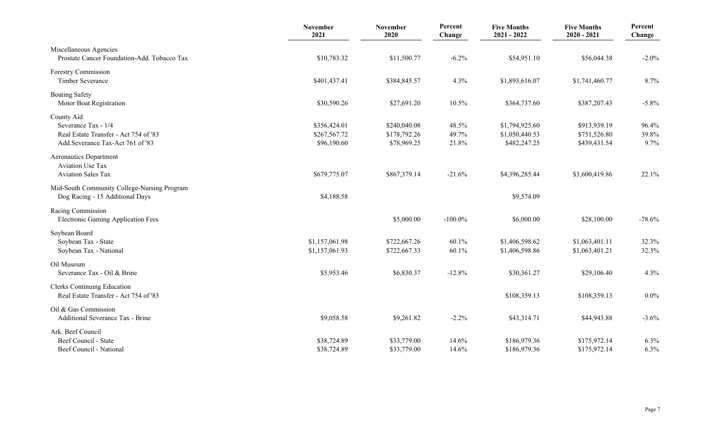|                                                                                                                | <b>November</b><br>2021                     | <b>November</b><br>2020                     | Percent<br>Change       | <b>Five Months</b><br>$2021 - 2022$              | <b>Five Months</b><br>$2020 - 2021$          | Percent<br>Change      |
|----------------------------------------------------------------------------------------------------------------|---------------------------------------------|---------------------------------------------|-------------------------|--------------------------------------------------|----------------------------------------------|------------------------|
| Miscellaneous Agencies<br>Prostate Cancer Foundation-Add. Tobacco Tax                                          | \$10,783.32                                 | \$11,500.77                                 | $-6.2\%$                | \$54,951.10                                      | \$56,044.38                                  | $-2.0\%$               |
| Forestry Commission<br>Timber Severance                                                                        | \$401,437.41                                | \$384,845.57                                | 4.3%                    | \$1,893,616.07                                   | \$1,741,460.77                               | 8.7%                   |
| <b>Boating Safety</b><br>Motor Boat Registration                                                               | \$30,590.26                                 | \$27,691.20                                 | 10.5%                   | \$364,737.60                                     | \$387,207.43                                 | $-5.8\%$               |
| County Aid<br>Severance Tax - 1/4<br>Real Estate Transfer - Act 754 of '83<br>Add.Severance.Tax-Act 761 of '83 | \$356,424.01<br>\$267,567.72<br>\$96,190.60 | \$240,040.08<br>\$178,792.26<br>\$78,969.25 | 48.5%<br>49.7%<br>21.8% | \$1,794,925.60<br>\$1,050,440.53<br>\$482,247.25 | \$913,939.19<br>\$751,526.80<br>\$439,431.54 | 96.4%<br>39.8%<br>9.7% |
| <b>Aeronautics Department</b><br><b>Aviation Use Tax</b><br><b>Aviation Sales Tax</b>                          | \$679,775.07                                | \$867,379.14                                | $-21.6%$                | \$4,396,285.44                                   | \$3,600,419.86                               | 22.1%                  |
| Mid-South Community College-Nursing Program<br>Dog Racing - 15 Additional Days                                 | \$4,188.58                                  |                                             |                         | \$9,574.09                                       |                                              |                        |
| Racing Commission<br><b>Electronic Gaming Application Fees</b>                                                 |                                             | \$5,000.00                                  | $-100.0\%$              | \$6,000.00                                       | \$28,100.00                                  | $-78.6%$               |
| Soybean Board<br>Soybean Tax - State<br>Soybean Tax - National                                                 | \$1,157,061.98<br>\$1,157,061.93            | \$722,667.26<br>\$722,667.33                | 60.1%<br>60.1%          | \$1,406,598.62<br>\$1,406,598.86                 | \$1,063,401.11<br>\$1,063,401.21             | 32.3%<br>32.3%         |
| Oil Museum<br>Severance Tax - Oil & Brine                                                                      | \$5,953.46                                  | \$6,830.37                                  | $-12.8%$                | \$30,361.27                                      | \$29,106.40                                  | 4.3%                   |
| <b>Clerks Continuing Education</b><br>Real Estate Transfer - Act 754 of '83                                    |                                             |                                             |                         | \$108,359.13                                     | \$108,359.13                                 | 0.0%                   |
| Oil & Gas Commission<br>Additional Severance Tax - Brine                                                       | \$9,058.58                                  | \$9,261.82                                  | $-2.2%$                 | \$43,314.71                                      | \$44,943.88                                  | $-3.6%$                |
| Ark. Beef Council<br>Beef Council - State<br>Beef Council - National                                           | \$38,724.89<br>\$38,724.89                  | \$33,779.00<br>\$33,779.00                  | 14.6%<br>14.6%          | \$186,979.36<br>\$186,979.36                     | \$175,972.14<br>\$175,972.14                 | 6.3%<br>6.3%           |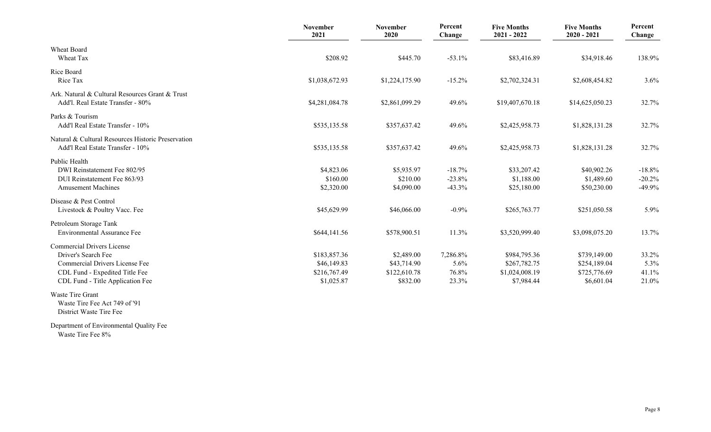|                                                                                                                                                                  | November<br>2021                                          | November<br>2020                                      | Percent<br>Change                  | <b>Five Months</b><br>$2021 - 2022$                          | <b>Five Months</b><br>$2020 - 2021$                        | Percent<br>Change                |
|------------------------------------------------------------------------------------------------------------------------------------------------------------------|-----------------------------------------------------------|-------------------------------------------------------|------------------------------------|--------------------------------------------------------------|------------------------------------------------------------|----------------------------------|
| Wheat Board<br>Wheat Tax                                                                                                                                         | \$208.92                                                  | \$445.70                                              | $-53.1%$                           | \$83,416.89                                                  | \$34,918.46                                                | 138.9%                           |
| Rice Board<br>Rice Tax                                                                                                                                           | \$1,038,672.93                                            | \$1,224,175.90                                        | $-15.2%$                           | \$2,702,324.31                                               | \$2,608,454.82                                             | 3.6%                             |
| Ark. Natural & Cultural Resources Grant & Trust<br>Add'l. Real Estate Transfer - 80%                                                                             | \$4,281,084.78                                            | \$2,861,099.29                                        | 49.6%                              | \$19,407,670.18                                              | \$14,625,050.23                                            | 32.7%                            |
| Parks & Tourism<br>Add'l Real Estate Transfer - 10%                                                                                                              | \$535,135.58                                              | \$357,637.42                                          | 49.6%                              | \$2,425,958.73                                               | \$1,828,131.28                                             | 32.7%                            |
| Natural & Cultural Resources Historic Preservation<br>Add'l Real Estate Transfer - 10%                                                                           | \$535,135.58                                              | \$357,637.42                                          | 49.6%                              | \$2,425,958.73                                               | \$1,828,131.28                                             | 32.7%                            |
| Public Health<br>DWI Reinstatement Fee 802/95<br>DUI Reinstatement Fee 863/93<br><b>Amusement Machines</b>                                                       | \$4,823.06<br>\$160.00<br>\$2,320.00                      | \$5,935.97<br>\$210.00<br>\$4,090.00                  | $-18.7%$<br>$-23.8%$<br>$-43.3%$   | \$33,207.42<br>\$1,188.00<br>\$25,180.00                     | \$40,902.26<br>\$1,489.60<br>\$50,230.00                   | $-18.8%$<br>$-20.2%$<br>$-49.9%$ |
| Disease & Pest Control<br>Livestock & Poultry Vacc. Fee                                                                                                          | \$45,629.99                                               | \$46,066.00                                           | $-0.9%$                            | \$265,763.77                                                 | \$251,050.58                                               | 5.9%                             |
| Petroleum Storage Tank<br><b>Environmental Assurance Fee</b>                                                                                                     | \$644,141.56                                              | \$578,900.51                                          | 11.3%                              | \$3,520,999.40                                               | \$3,098,075.20                                             | 13.7%                            |
| <b>Commercial Drivers License</b><br>Driver's Search Fee<br>Commercial Drivers License Fee<br>CDL Fund - Expedited Title Fee<br>CDL Fund - Title Application Fee | \$183,857.36<br>\$46,149.83<br>\$216,767.49<br>\$1,025.87 | \$2,489.00<br>\$43,714.90<br>\$122,610.78<br>\$832.00 | 7,286.8%<br>5.6%<br>76.8%<br>23.3% | \$984,795.36<br>\$267,782.75<br>\$1,024,008.19<br>\$7,984.44 | \$739,149.00<br>\$254,189.04<br>\$725,776.69<br>\$6,601.04 | 33.2%<br>5.3%<br>41.1%<br>21.0%  |
| Waste Tire Grant<br>Waste Tire Fee Act 749 of '91                                                                                                                |                                                           |                                                       |                                    |                                                              |                                                            |                                  |

District Waste Tire Fee

Department of Environmental Quality Fee Waste Tire Fee 8%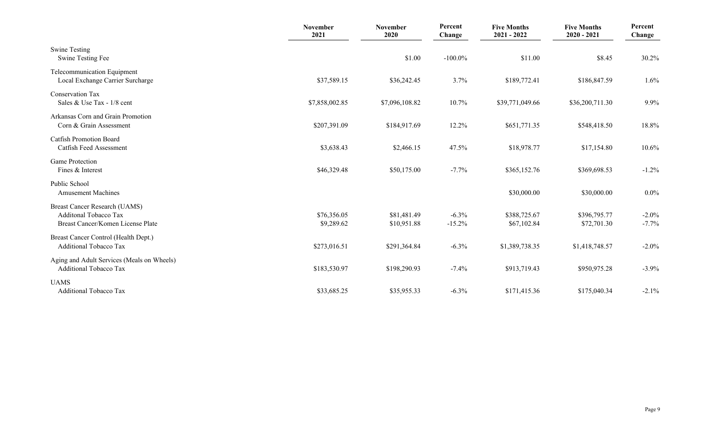|                                                                                                           | <b>November</b><br>2021   | <b>November</b><br>2020    | Percent<br>Change    | <b>Five Months</b><br>$2021 - 2022$ | <b>Five Months</b><br>$2020 - 2021$ | Percent<br>Change    |
|-----------------------------------------------------------------------------------------------------------|---------------------------|----------------------------|----------------------|-------------------------------------|-------------------------------------|----------------------|
| <b>Swine Testing</b><br>Swine Testing Fee                                                                 |                           | \$1.00                     | $-100.0\%$           | \$11.00                             | \$8.45                              | 30.2%                |
| Telecommunication Equipment<br>Local Exchange Carrier Surcharge                                           | \$37,589.15               | \$36,242.45                | 3.7%                 | \$189,772.41                        | \$186,847.59                        | 1.6%                 |
| <b>Conservation Tax</b><br>Sales & Use Tax - $1/8$ cent                                                   | \$7,858,002.85            | \$7,096,108.82             | 10.7%                | \$39,771,049.66                     | \$36,200,711.30                     | 9.9%                 |
| Arkansas Corn and Grain Promotion<br>Corn & Grain Assessment                                              | \$207,391.09              | \$184,917.69               | 12.2%                | \$651,771.35                        | \$548,418.50                        | 18.8%                |
| <b>Catfish Promotion Board</b><br>Catfish Feed Assessment                                                 | \$3,638.43                | \$2,466.15                 | 47.5%                | \$18,978.77                         | \$17,154.80                         | 10.6%                |
| <b>Game Protection</b><br>Fines & Interest                                                                | \$46,329.48               | \$50,175.00                | $-7.7%$              | \$365,152.76                        | \$369,698.53                        | $-1.2%$              |
| Public School<br><b>Amusement Machines</b>                                                                |                           |                            |                      | \$30,000.00                         | \$30,000.00                         | $0.0\%$              |
| <b>Breast Cancer Research (UAMS)</b><br><b>Additonal Tobacco Tax</b><br>Breast Cancer/Komen License Plate | \$76,356.05<br>\$9,289.62 | \$81,481.49<br>\$10,951.88 | $-6.3\%$<br>$-15.2%$ | \$388,725.67<br>\$67,102.84         | \$396,795.77<br>\$72,701.30         | $-2.0\%$<br>$-7.7\%$ |
| Breast Cancer Control (Health Dept.)<br><b>Additional Tobacco Tax</b>                                     | \$273,016.51              | \$291,364.84               | $-6.3%$              | \$1,389,738.35                      | \$1,418,748.57                      | $-2.0\%$             |
| Aging and Adult Services (Meals on Wheels)<br><b>Additional Tobacco Tax</b>                               | \$183,530.97              | \$198,290.93               | $-7.4%$              | \$913,719.43                        | \$950,975.28                        | $-3.9\%$             |
| <b>UAMS</b><br><b>Additional Tobacco Tax</b>                                                              | \$33,685.25               | \$35,955.33                | $-6.3%$              | \$171,415.36                        | \$175,040.34                        | $-2.1\%$             |